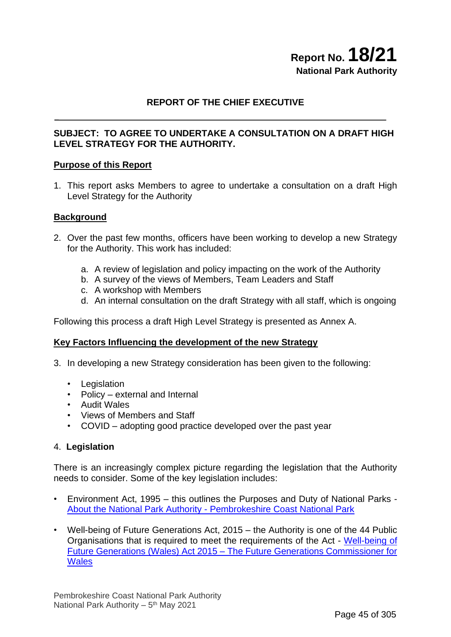## **Report No. 18/21 National Park Authority**

#### **REPORT OF THE CHIEF EXECUTIVE**

#### **SUBJECT: TO AGREE TO UNDERTAKE A CONSULTATION ON A DRAFT HIGH LEVEL STRATEGY FOR THE AUTHORITY.**

#### **Purpose of this Report**

1. This report asks Members to agree to undertake a consultation on a draft High Level Strategy for the Authority

#### **Background**

- 2. Over the past few months, officers have been working to develop a new Strategy for the Authority. This work has included:
	- a. A review of legislation and policy impacting on the work of the Authority
	- b. A survey of the views of Members, Team Leaders and Staff
	- c. A workshop with Members
	- d. An internal consultation on the draft Strategy with all staff, which is ongoing

Following this process a draft High Level Strategy is presented as Annex A.

#### **Key Factors Influencing the development of the new Strategy**

- 3. In developing a new Strategy consideration has been given to the following:
	- Legislation
	- Policy external and Internal
	- Audit Wales
	- Views of Members and Staff
	- COVID adopting good practice developed over the past year

#### 4. **Legislation**

There is an increasingly complex picture regarding the legislation that the Authority needs to consider. Some of the key legislation includes:

- Environment Act, 1995 this outlines the Purposes and Duty of National Parks About the National Park Authority - [Pembrokeshire Coast National Park](https://www.pembrokeshirecoast.wales/about-the-national-park-authority/)
- Well-being of Future Generations Act, 2015 the Authority is one of the 44 Public Organisations that is required to meet the requirements of the Act - [Well-being of](https://www.futuregenerations.wales/about-us/future-generations-act/#:~:text=The%20Well-being%20of%20Future%20Generations%20Act%20gives%20us,such%20as%20poverty%2C%20health%20inequalities%20and%20climate%20change.)  Future Generations (Wales) Act 2015 – [The Future Generations Commissioner for](https://www.futuregenerations.wales/about-us/future-generations-act/#:~:text=The%20Well-being%20of%20Future%20Generations%20Act%20gives%20us,such%20as%20poverty%2C%20health%20inequalities%20and%20climate%20change.)  **[Wales](https://www.futuregenerations.wales/about-us/future-generations-act/#:~:text=The%20Well-being%20of%20Future%20Generations%20Act%20gives%20us,such%20as%20poverty%2C%20health%20inequalities%20and%20climate%20change.)**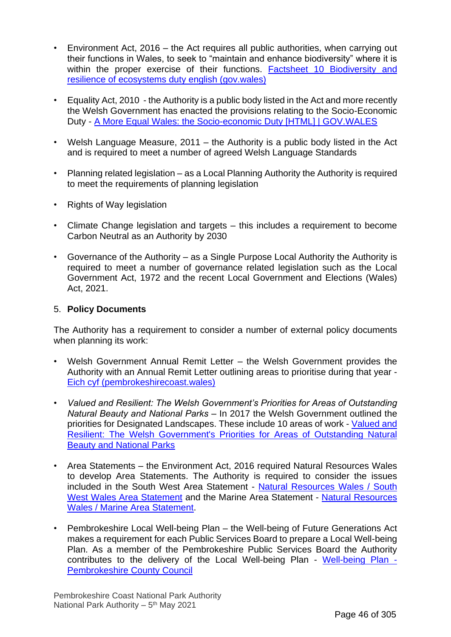- Environment Act, 2016 the Act requires all public authorities, when carrying out their functions in Wales, to seek to "maintain and enhance biodiversity" where it is within the proper exercise of their functions. Factsheet 10 Biodiversity and [resilience of ecosystems duty english \(gov.wales\)](https://gov.wales/sites/default/files/publications/2020-08/environment-wales-act-2016-biodiversity-resilience-ecosystems.pdf)
- Equality Act, 2010 the Authority is a public body listed in the Act and more recently the Welsh Government has enacted the provisions relating to the Socio-Economic Duty - [A More Equal Wales: the Socio-economic Duty \[HTML\] | GOV.WALES](https://gov.wales/more-equal-wales-socio-economic-duty-html#:~:text=A%20More%20Equal%20Wales%3A%20the%20Socio-economic%20Duty%201,Health.%20...%206%20Justice%20and%20personal%20security.%20)
- Welsh Language Measure, 2011 the Authority is a public body listed in the Act and is required to meet a number of agreed Welsh Language Standards
- Planning related legislation as a Local Planning Authority the Authority is required to meet the requirements of planning legislation
- Rights of Way legislation
- Climate Change legislation and targets this includes a requirement to become Carbon Neutral as an Authority by 2030
- Governance of the Authority as a Single Purpose Local Authority the Authority is required to meet a number of governance related legislation such as the Local Government Act, 1972 and the recent Local Government and Elections (Wales) Act, 2021.

#### 5. **Policy Documents**

The Authority has a requirement to consider a number of external policy documents when planning its work:

- Welsh Government Annual Remit Letter the Welsh Government provides the Authority with an Annual Remit Letter outlining areas to prioritise during that year - [Eich cyf \(pembrokeshirecoast.wales\)](https://www.pembrokeshirecoast.wales/wp-content/uploads/2021/04/Pembrokeshire-Coast-National-Park-Authority-2021-22-Core-Grant-Remit-letter-ENGLISH-Final.pdf)
- *Valued and Resilient: The Welsh Government's Priorities for Areas of Outstanding Natural Beauty and National Parks* – In 2017 the Welsh Government outlined the priorities for Designated Landscapes. These include 10 areas of work - [Valued and](https://gov.wales/sites/default/files/publications/2019-04/areas-outstanding-natural-beauty-national-parks-2018-report%20.pdf)  [Resilient: The Welsh Government's Priorities for Areas of Outstanding Natural](https://gov.wales/sites/default/files/publications/2019-04/areas-outstanding-natural-beauty-national-parks-2018-report%20.pdf)  [Beauty and National Parks](https://gov.wales/sites/default/files/publications/2019-04/areas-outstanding-natural-beauty-national-parks-2018-report%20.pdf)
- Area Statements the Environment Act, 2016 required Natural Resources Wales to develop Area Statements. The Authority is required to consider the issues included in the South West Area Statement - [Natural Resources Wales / South](https://naturalresources.wales/about-us/area-statements/south-west-wales-area-statement/?lang=en)  [West Wales Area Statement](https://naturalresources.wales/about-us/area-statements/south-west-wales-area-statement/?lang=en) and the Marine Area Statement - [Natural Resources](https://naturalresources.wales/about-us/area-statements/marine-area-statement/?lang=en)  [Wales / Marine Area Statement.](https://naturalresources.wales/about-us/area-statements/marine-area-statement/?lang=en)
- Pembrokeshire Local Well-being Plan the Well-being of Future Generations Act makes a requirement for each Public Services Board to prepare a Local Well-being Plan. As a member of the Pembrokeshire Public Services Board the Authority contributes to the delivery of the Local Well-being Plan - [Well-being Plan -](https://www.pembrokeshire.gov.uk/public-services-board/well-being-plan#:~:text=The%20Well-being%20Plan%20sets%20out%20how%20the%20PSB,what%20really%20matters%20to%20people%20in%20the%20County.) [Pembrokeshire County Council](https://www.pembrokeshire.gov.uk/public-services-board/well-being-plan#:~:text=The%20Well-being%20Plan%20sets%20out%20how%20the%20PSB,what%20really%20matters%20to%20people%20in%20the%20County.)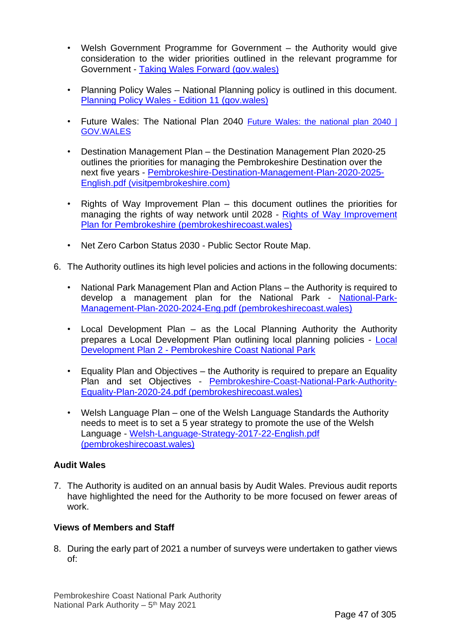- Welsh Government Programme for Government the Authority would give consideration to the wider priorities outlined in the relevant programme for Government - [Taking Wales Forward \(gov.wales\)](https://gov.wales/sites/default/files/publications/2017-08/taking-wales-forward.pdf)
- Planning Policy Wales National Planning policy is outlined in this document. [Planning Policy Wales -](https://gov.wales/sites/default/files/publications/2021-02/planning-policy-wales-edition-11_0.pdf) Edition 11 (gov.wales)
- Future Wales: The National Plan 2040 [Future Wales: the national plan 2040](https://gov.wales/future-wales-national-plan-2040) | [GOV.WALES](https://gov.wales/future-wales-national-plan-2040)
- Destination Management Plan the Destination Management Plan 2020-25 outlines the priorities for managing the Pembrokeshire Destination over the next five years - [Pembrokeshire-Destination-Management-Plan-2020-2025-](https://www.visitpembrokeshire.com/wp-content/uploads/Pembrokeshire-Destination-Management-Plan-2020-2025-English.pdf) [English.pdf \(visitpembrokeshire.com\)](https://www.visitpembrokeshire.com/wp-content/uploads/Pembrokeshire-Destination-Management-Plan-2020-2025-English.pdf)
- Rights of Way Improvement Plan this document outlines the priorities for managing the rights of way network until 2028 - [Rights of Way Improvement](https://www.pembrokeshirecoast.wales/wp-content/uploads/2019/06/Pembrokeshire-RoWIP-2018-28-ENGLISH.pdf)  [Plan for Pembrokeshire \(pembrokeshirecoast.wales\)](https://www.pembrokeshirecoast.wales/wp-content/uploads/2019/06/Pembrokeshire-RoWIP-2018-28-ENGLISH.pdf)
- Net Zero Carbon Status 2030 Public Sector Route Map.
- 6. The Authority outlines its high level policies and actions in the following documents:
	- National Park Management Plan and Action Plans the Authority is required to develop a management plan for the National Park - [National-Park-](https://www.pembrokeshirecoast.wales/wp-content/uploads/2020/01/National-Park-Management-Plan-2020-2024-Eng.pdf)[Management-Plan-2020-2024-Eng.pdf \(pembrokeshirecoast.wales\)](https://www.pembrokeshirecoast.wales/wp-content/uploads/2020/01/National-Park-Management-Plan-2020-2024-Eng.pdf)
	- Local Development Plan as the Local Planning Authority the Authority prepares a Local Development Plan outlining local planning policies - [Local](https://www.pembrokeshirecoast.wales/planning/planning-policy/local-development-plan-2/)  Development Plan 2 - [Pembrokeshire Coast National Park](https://www.pembrokeshirecoast.wales/planning/planning-policy/local-development-plan-2/)
	- Equality Plan and Objectives the Authority is required to prepare an Equality Plan and set Objectives - [Pembrokeshire-Coast-National-Park-Authority-](https://www.pembrokeshirecoast.wales/wp-content/uploads/2020/03/Pembrokeshire-Coast-National-Park-Authority-Equality-Plan-2020-24.pdf)[Equality-Plan-2020-24.pdf \(pembrokeshirecoast.wales\)](https://www.pembrokeshirecoast.wales/wp-content/uploads/2020/03/Pembrokeshire-Coast-National-Park-Authority-Equality-Plan-2020-24.pdf)
	- Welsh Language Plan one of the Welsh Language Standards the Authority needs to meet is to set a 5 year strategy to promote the use of the Welsh Language - [Welsh-Language-Strategy-2017-22-English.pdf](https://www.pembrokeshirecoast.wales/wp-content/uploads/2020/02/Welsh-Language-Strategy-2017-22-English.pdf)  [\(pembrokeshirecoast.wales\)](https://www.pembrokeshirecoast.wales/wp-content/uploads/2020/02/Welsh-Language-Strategy-2017-22-English.pdf)

#### **Audit Wales**

7. The Authority is audited on an annual basis by Audit Wales. Previous audit reports have highlighted the need for the Authority to be more focused on fewer areas of work.

#### **Views of Members and Staff**

8. During the early part of 2021 a number of surveys were undertaken to gather views of: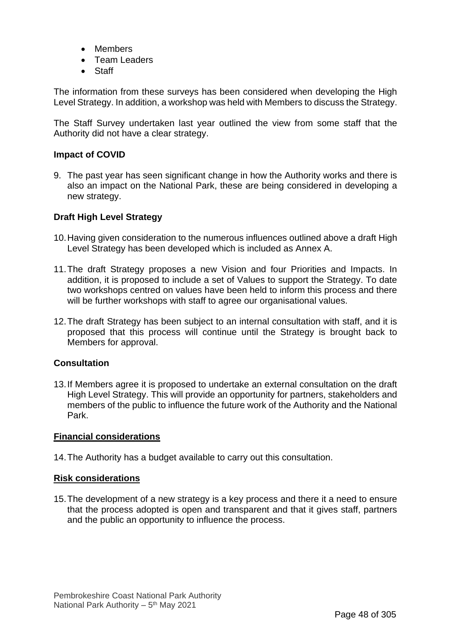- Members
- Team Leaders
- Staff

The information from these surveys has been considered when developing the High Level Strategy. In addition, a workshop was held with Members to discuss the Strategy.

The Staff Survey undertaken last year outlined the view from some staff that the Authority did not have a clear strategy.

#### **Impact of COVID**

9. The past year has seen significant change in how the Authority works and there is also an impact on the National Park, these are being considered in developing a new strategy.

#### **Draft High Level Strategy**

- 10.Having given consideration to the numerous influences outlined above a draft High Level Strategy has been developed which is included as Annex A.
- 11.The draft Strategy proposes a new Vision and four Priorities and Impacts. In addition, it is proposed to include a set of Values to support the Strategy. To date two workshops centred on values have been held to inform this process and there will be further workshops with staff to agree our organisational values.
- 12.The draft Strategy has been subject to an internal consultation with staff, and it is proposed that this process will continue until the Strategy is brought back to Members for approval.

#### **Consultation**

13.If Members agree it is proposed to undertake an external consultation on the draft High Level Strategy. This will provide an opportunity for partners, stakeholders and members of the public to influence the future work of the Authority and the National Park.

#### **Financial considerations**

14.The Authority has a budget available to carry out this consultation.

#### **Risk considerations**

15.The development of a new strategy is a key process and there it a need to ensure that the process adopted is open and transparent and that it gives staff, partners and the public an opportunity to influence the process.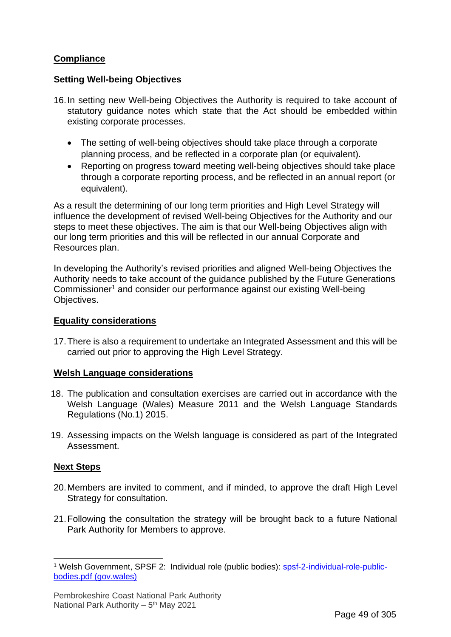#### **Compliance**

#### **Setting Well-being Objectives**

- 16.In setting new Well-being Objectives the Authority is required to take account of statutory guidance notes which state that the Act should be embedded within existing corporate processes.
	- The setting of well-being objectives should take place through a corporate planning process, and be reflected in a corporate plan (or equivalent).
	- Reporting on progress toward meeting well-being objectives should take place through a corporate reporting process, and be reflected in an annual report (or equivalent).

As a result the determining of our long term priorities and High Level Strategy will influence the development of revised Well-being Objectives for the Authority and our steps to meet these objectives. The aim is that our Well-being Objectives align with our long term priorities and this will be reflected in our annual Corporate and Resources plan.

In developing the Authority's revised priorities and aligned Well-being Objectives the Authority needs to take account of the guidance published by the Future Generations Commissioner<sup>1</sup> and consider our performance against our existing Well-being Objectives.

#### **Equality considerations**

17.There is also a requirement to undertake an Integrated Assessment and this will be carried out prior to approving the High Level Strategy.

#### **Welsh Language considerations**

- 18. The publication and consultation exercises are carried out in accordance with the Welsh Language (Wales) Measure 2011 and the Welsh Language Standards Regulations (No.1) 2015.
- 19. Assessing impacts on the Welsh language is considered as part of the Integrated Assessment.

#### **Next Steps**

- 20.Members are invited to comment, and if minded, to approve the draft High Level Strategy for consultation.
- 21.Following the consultation the strategy will be brought back to a future National Park Authority for Members to approve.

<sup>1</sup> Welsh Government, SPSF 2: Individual role (public bodies): [spsf-2-individual-role-public](https://gov.wales/sites/default/files/publications/2019-02/spsf-2-individual-role-public-bodies.pdf)[bodies.pdf \(gov.wales\)](https://gov.wales/sites/default/files/publications/2019-02/spsf-2-individual-role-public-bodies.pdf)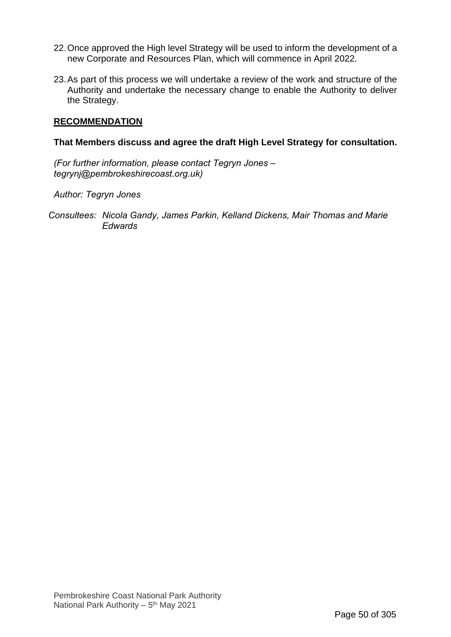- 22.Once approved the High level Strategy will be used to inform the development of a new Corporate and Resources Plan, which will commence in April 2022.
- 23.As part of this process we will undertake a review of the work and structure of the Authority and undertake the necessary change to enable the Authority to deliver the Strategy.

#### **RECOMMENDATION**

#### **That Members discuss and agree the draft High Level Strategy for consultation.**

*(For further information, please contact Tegryn Jones – tegrynj@pembrokeshirecoast.org.uk)*

*Author: Tegryn Jones*

*Consultees: Nicola Gandy, James Parkin, Kelland Dickens, Mair Thomas and Marie Edwards*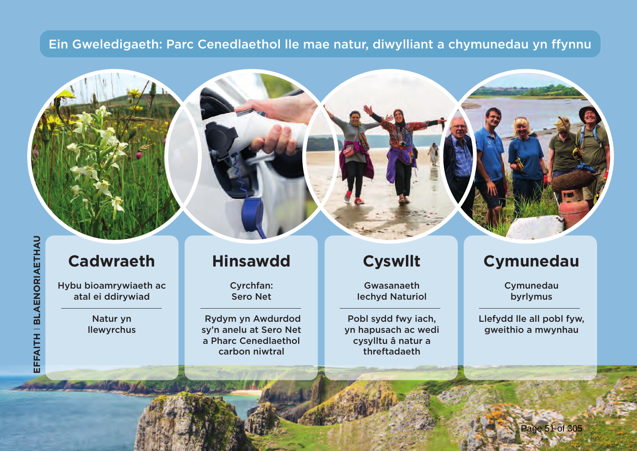### Ein Gweledigaeth: Parc Cenedlaethol lle mae natur, diwylliant a chymunedau yn ffynnu

# EFFAITH | BLAENORIAETHAU **EFFAITH** I **BLAENORIAETHAU**

## **Cadwraeth**

**Hybu bioamrywiaeth ac atal ei ddirywiad**

> **Natur yn llewyrchus**

## **Hinsawdd**

**Cyrchfan: Sero Net**

 **Rydym yn Awdurdod sy'n anelu at Sero Net a Pharc Cenedlaethol carbon niwtral** 

## **Cyswllt**

**Gwasanaeth Iechyd Naturiol**

**Pobl sydd fwy iach, yn hapusach ac wedi cysylltu â natur a threftadaeth**

## **Cymunedau**

**Cymunedau byrlymus**

**Llefydd lle all pobl fyw, gweithio a mwynhau**